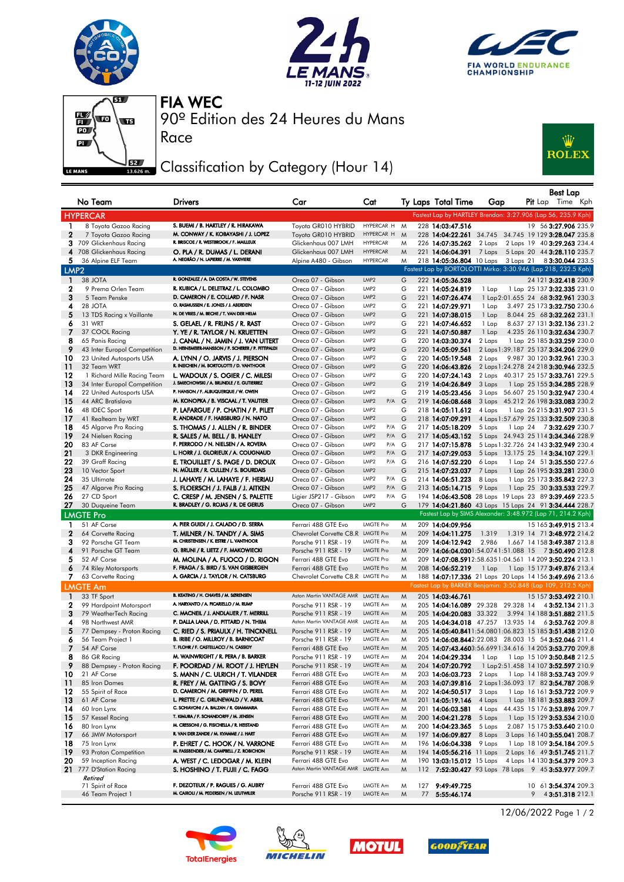







Race

90º Edition des 24 Heures du Mans FIA WEC

## Classification by Category (Hour 14)



|                  | No Team                                                     | Drivers                                                                                   | Car                                          | Cat                                  |        | Ty Laps Total Time                                           | Gap    |  | <b>Best Lap</b><br><b>Pit</b> Lap Time Kph                                                                              |
|------------------|-------------------------------------------------------------|-------------------------------------------------------------------------------------------|----------------------------------------------|--------------------------------------|--------|--------------------------------------------------------------|--------|--|-------------------------------------------------------------------------------------------------------------------------|
|                  | <b>HYPERCAR</b>                                             |                                                                                           |                                              |                                      |        |                                                              |        |  | Fastest Lap by HARTLEY Brendon: 3:27.906 (Lap 56, 235.9 Kph)                                                            |
| 1.               | 8 Toyota Gazoo Racing                                       | S. BUEMI / B. HARTLEY / R. HIRAKAWA                                                       | Toyota GR010 HYBRID                          | HYPERCAR H M                         |        | 228 14:03:47.516                                             |        |  | 19 56 3:27.906 235.9                                                                                                    |
| $\mathbf{2}$     | 7 Toyota Gazoo Racing                                       | M. CONWAY / K. KOBAYASHI / J. LOPEZ                                                       | Toyota GR010 HYBRID                          | HYPERCAR H                           | M      |                                                              |        |  | 228 14:04:22.261 34.745 34.745 19 129 3:28.047 235.8                                                                    |
|                  | 3 709 Glickenhaus Racing                                    | R. BRISCOE / R. WESTBROOK / F. MAILLEUX                                                   | Glickenhaus 007 LMH                          | <b>HYPERCAR</b>                      | M      | 226 14:07:35.262                                             | 2 Laps |  | 2 Laps 19 40 3:29.263 234.4                                                                                             |
|                  | 4 708 Glickenhaus Racing                                    | O. PLA / R. DUMAS / L. DERANI                                                             | Glickenhaus 007 LMH                          | <b>HYPERCAR</b>                      | M      | 221 14:06:04.391                                             | 7 Laps |  | 5 Laps 20 44 3:28.110 235.7                                                                                             |
| 5.               | 36 Alpine ELF Team                                          | A. NEGRÃO / N. LAPIERRE / M. VAXIVIERE                                                    | Alpine A480 - Gibson                         | <b>HYPERCAR</b>                      | M      |                                                              |        |  | 218 14:05:36.804 10 Laps 3 Laps 21 8 3:30.044 233.5                                                                     |
| LMP <sub>2</sub> |                                                             |                                                                                           |                                              |                                      |        |                                                              |        |  | Fastest Lap by BORTOLOTTI Mirko: 3:30.946 (Lap 218, 232.5 Kph)                                                          |
| $\mathbf{1}$     | 38 JOTA                                                     | R. GONZALEZ / A. DA COSTA / W. STEVENS                                                    | Oreca 07 - Gibson                            | LMP <sub>2</sub>                     | G      | 222 14:05:36.528                                             |        |  | 24 121 3:32.418 230.9                                                                                                   |
| $\mathbf{2}$     | 9 Prema Orlen Team                                          | R. KUBICA / L. DELETRAZ / L. COLOMBO                                                      | Oreca 07 - Gibson                            | LMP <sub>2</sub>                     | G      | 221 14:05:24.819                                             | 1 Lap  |  | 1 Lap 25 137 3:32.335 231.0                                                                                             |
| 3                | 5 Team Penske                                               | D. CAMERON / E. COLLARD / F. NASR                                                         | Oreca 07 - Gibson                            | LMP <sub>2</sub>                     | G      | 221 14:07:26.474                                             |        |  | 1 Lap 2:01.655 24 68 3:32.961 230.3                                                                                     |
| 4                | 28 JOTA                                                     | O. RASMUSSEN / E. JONES / J. ABERDEIN                                                     | Oreca 07 - Gibson                            | LMP <sub>2</sub>                     | G      | 221 14:07:29.971                                             | 1 Lap  |  | 3.497 25 173 3:32.750 230.6                                                                                             |
| 5                | 13 TDS Racing x Vaillante                                   | N. DE VRIES / M. BECHE / T. VAN DER HELM                                                  | Oreca 07 - Gibson                            | LMP <sub>2</sub>                     | G      | 221 14:07:38.015                                             | 1 Lap  |  | 8.044 25 68 3:32.262 231.1                                                                                              |
| 6                | 31 WRT                                                      | S. GELAEL / R. FRIJNS / R. RAST                                                           | Oreca 07 - Gibson                            | LMP <sub>2</sub>                     | G      | 221 14:07:46.652                                             | 1 Lap  |  | 8.637 27 131 3:32.136 231.2                                                                                             |
| 7                | 37 COOL Racing                                              | Y. YE / R. TAYLOR / N. KRUETTEN                                                           | Oreca 07 - Gibson                            | LMP <sub>2</sub>                     | G      | 221 14:07:50.887                                             | 1 Lap  |  | 4.235 26 110 3:32.634 230.7                                                                                             |
| 8                | 65 Panis Racing                                             | J. CANAL / N. JAMIN / J. VAN UITERT<br>D. HEINEMEIER-HANSSON / F. SCHERER / P. FITTIPALDI | Oreca 07 - Gibson                            | LMP <sub>2</sub>                     | G      | 220 14:03:30.374                                             | 2 Laps |  | 1 Lap 25 185 3:33.259 230.0                                                                                             |
| 9                | 43 Inter Europol Competition                                |                                                                                           | Oreca 07 - Gibson                            | LMP <sub>2</sub>                     | G      | 220 14:05:09.561                                             |        |  | 2 Laps 1:39.187 25 137 3:34.206 229.0                                                                                   |
| 10               | 23 United Autosports USA                                    | A. LYNN / O. JARVIS / J. PIERSON<br>R. INEICHEN / M. BORTOLOTTI / D. VANTHOOR             | Oreca 07 - Gibson                            | LMP <sub>2</sub><br>LMP <sub>2</sub> | G      | 220 14:05:19.548                                             | 2 Laps |  | 9.987 30 120 3:32.961 230.3                                                                                             |
| 11<br>12         | 32 Team WRT                                                 |                                                                                           | Oreca 07 - Gibson<br>Oreca 07 - Gibson       | LMP <sub>2</sub>                     | G<br>G | 220 14:06:43.826<br>220 14:07:24.143                         | 2 Laps |  | 2 Laps 1:24.278 24 218 3:30.946 232.5                                                                                   |
| 13               | 1 Richard Mille Racing Team<br>34 Inter Europol Competition | L. WADOUX / S. OGIER / C. MILESI<br>J. SMIECHOWSKI / A. BRUNDLE / E. GUTIERREZ            | Oreca 07 - Gibson                            | LMP <sub>2</sub>                     | G      | 219 14:04:26.849                                             | 3 Laps |  | 40.317 25 157 3:33.761 229.5<br>1 Lap 25 155 3:34.285 228.9                                                             |
| 14               | 22 United Autosports USA                                    | P. HANSON / F. ALBUQUERQUE / W. OWEN                                                      | Oreca 07 - Gibson                            | LMP2                                 | G      | 219 14:05:23.456                                             |        |  | 3 Laps 56.607 25 150 3:32.947 230.4                                                                                     |
| 15               | 44 ARC Bratislava                                           | M. KONOPKA / B. VISCAAL / T. VAUTIER                                                      | Oreca 07 - Gibson                            | LMP2<br>P/A G                        |        | 219 14:06:08.668                                             |        |  | 3 Laps 45.212 26 198 3:33.083 230.2                                                                                     |
| 16               | 48 IDEC Sport                                               | P. LAFARGUE / P. CHATIN / P. PILET                                                        | Oreca 07 - Gibson                            | LMP <sub>2</sub>                     | G      | 218 14:05:11.612                                             | 4 Laps |  | 1 Lap 26 215 3:31.907 231.5                                                                                             |
| 17               | 41 Realteam by WRT                                          | R. ANDRADE / F. HABSBURG / N. NATO                                                        | Oreca 07 - Gibson                            | LMP <sub>2</sub>                     | G      | 218 14:07:09.291                                             |        |  | 4 Laps 1:57.679 25 133 3:32.509 230.8                                                                                   |
| 18               | 45 Algarve Pro Racing                                       | S. THOMAS / J. ALLEN / R. BINDER                                                          | Oreca 07 - Gibson                            | LMP2<br>P/A                          | G      | 217 14:05:18.209                                             | 5 Laps |  | 1 Lap 24 73:32.629 230.7                                                                                                |
| 19               | 24 Nielsen Racing                                           | R. SALES / M. BELL / B. HANLEY                                                            | Oreca 07 - Gibson                            | LMP <sub>2</sub><br>P/A G            |        | 217 14:05:43.152                                             |        |  | 5 Laps 24.943 25 114 3:34.346 228.9                                                                                     |
| 20               | 83 AF Corse                                                 | F. PERRODO / N. NIELSEN / A. ROVERA                                                       | Oreca 07 - Gibson                            | LMP2<br>P/A G                        |        | 217 14:07:15.878                                             |        |  | 5 Laps 1:32.726 24 143 3:32.949 230.4                                                                                   |
| 21               | 3 DKR Engineering                                           | L. HORR / J. GLORIEUX / A. COUGNAUD                                                       | Oreca 07 - Gibson                            | LMP <sub>2</sub><br>P/A G            |        | 217 14:07:29.053                                             |        |  | 5 Laps 13.175 25 14 3:34.107 229.1                                                                                      |
| 22               | 39 Graff Racing                                             | E. TROUILLET / S. PAGE / D. DROUX                                                         | Oreca 07 - Gibson                            | LMP2<br>P/A G                        |        | 216 14:07:52.220                                             | 6 Laps |  | 1 Lap 24 51 3:35.550 227.6                                                                                              |
| 23               | 10 Vector Sport                                             | N. MÜLLER / R. CULLEN / S. BOURDAIS                                                       | Oreca 07 - Gibson                            | LMP <sub>2</sub>                     | G      | 215 14:07:23.037                                             | 7 Laps |  | 1 Lap 26 195 3:33.281 230.0                                                                                             |
| 24               | 35 Ultimate                                                 | J. LAHAYE / M. LAHAYE / F. HERIAU                                                         | Oreca 07 - Gibson                            | LMP <sub>2</sub><br>$P/A$ G          |        | 214 14:06:51.223                                             | 8 Laps |  | 1 Lap 25 173 3:35.842 227.3                                                                                             |
| 25               | 47 Algarve Pro Racing                                       | S. FLOERSCH / J. FALB / J. AITKEN                                                         | Oreca 07 - Gibson                            | LMP2<br>P/A G                        |        | 213 14:05:14.715                                             | 9 Laps |  | 1 Lap 25 30 3:33.533 229.7                                                                                              |
| 26               | 27 CD Sport                                                 | C. CRESP / M. JENSEN / S. PALETTE                                                         | Ligier JSP217 - Gibson                       | LMP <sub>2</sub><br>P/A G            |        |                                                              |        |  | 194 14:06:43.508 28 Laps 19 Laps 23 89 3:39.469 223.5                                                                   |
| 27               | 30 Duqueine Team                                            | R. BRADLEY / G. ROJAS / R. DE GERUS                                                       | Oreca 07 - Gibson                            | LMP2                                 | G      |                                                              |        |  | 179 14:04:21.860 43 Laps 15 Laps 24 91 3:34.444 228.7                                                                   |
|                  | <b>LMGTE Pro</b>                                            |                                                                                           |                                              |                                      |        |                                                              |        |  | Fastest Lap by SIMS Alexander: 3:48.972 (Lap 71, 214.2 Kph)                                                             |
| 1                | 51 AF Corse                                                 | A. PIER GUIDI / J. CALADO / D. SERRA                                                      | Ferrari 488 GTE Evo                          | <b>LMGTE Pro</b>                     | M      | 209 14:04:09.956                                             |        |  | 15 165 3:49.915 213.4                                                                                                   |
| $\mathbf{2}$     | 64 Corvette Racing                                          | T. MILNER / N. TANDY / A. SIMS                                                            | Chevrolet Corvette C8.R LMGTE Pro            |                                      | M      | 209 14:04:11.275                                             | 1.319  |  | 1.319 14 71 3:48.972 214.2                                                                                              |
| з                | 92 Porsche GT Team                                          | M. CHRISTENSEN / K. ESTRE / L. VANTHOOR                                                   | Porsche 911 RSR - 19                         | <b>LMGTE Pro</b>                     | M      | 209 14:04:12.942                                             | 2.986  |  | 1.667 14 158 3:49.387 213.8                                                                                             |
| 4                | 91 Porsche GT Team                                          | G. BRUNI / R. LIETZ / F. MAKOWIECKI                                                       | Porsche 911 RSR - 19                         | <b>LMGTE Pro</b>                     | M      |                                                              |        |  | 209 14:06:04.0301:54.0741:51.088 15 73:50.490 212.8                                                                     |
| 5                | 52 AF Corse                                                 | M. MOLINA / A. FUOCO / D. RIGON                                                           | Ferrari 488 GTE Evo                          | <b>LMGTE Pro</b>                     | M      |                                                              |        |  | 209 14:07:08.5912:58.6351:04.561 14 209 3:50.224 213.1                                                                  |
| 6                | 74 Riley Motorsports                                        | F. FRAGA / S. BIRD / S. VAN GISBERGEN<br>A. GARCIA / J. TAYLOR / N. CATSBURG              | Ferrari 488 GTE Evo                          | <b>LMGTE Pro</b>                     | M      | 208 14:06:52.219                                             | 1 Lap  |  | 1 Lap 15 177 3:49.876 213.4                                                                                             |
| 7.               | 63 Corvette Racing                                          |                                                                                           | Chevrolet Corvette C8.R LMGTE Pro            |                                      | M      |                                                              |        |  | 188 14:07:17.336 21 Laps 20 Laps 14 156 3:49.696 213.6<br>Fastest Lap by BARKER Benjamin: 3:50.848 (Lap 109, 212.5 Kph) |
|                  | <b>LMGTE Am</b>                                             |                                                                                           |                                              |                                      |        |                                                              |        |  |                                                                                                                         |
| $\blacksquare$   | 33 TF Sport                                                 | B. KEATING / H. CHAVES / M. SØRENSEN<br>A. HARYANTO / A. PICARIELLO / M. RUMP             | Aston Martin VANTAGE AMR LMGTE Am            |                                      | M      | 205 14:03:46.761                                             |        |  | 15 157 3:53.492 210.1                                                                                                   |
| 2<br>3           | 99 Hardpoint Motorsport<br>79 WeatherTech Racing            | C. MACNEIL / J. ANDLAUER / T. MERRILL                                                     | Porsche 911 RSR - 19<br>Porsche 911 RSR - 19 | LMGTE Am<br>LMGTE Am                 | M      | 205 14:04:16.089 29.328 29.328 14<br>205 14:04:20.083 33.322 |        |  | 4 3:52.134 211.3                                                                                                        |
| 4                | 98 Northwest AMR                                            | P. DALLA LANA / D. PITTARD / N. THIM                                                      | Aston Martin VANTAGE AMR LMGTE Am            |                                      | M<br>M | 205 14:04:34.018 47.257 13.935 14                            |        |  | 3.994 14 188 3:51.882 211.5<br>63:53.762 209.8                                                                          |
| 5                | 77 Dempsey - Proton Racing                                  | C. RIED / S. PRIAULX / H. TINCKNELL                                                       | Porsche 911 RSR - 19                         | LMGTE Am                             | M      |                                                              |        |  | 205 14:05:40.8411:54.0801:06.823 15 185 3:51.438 212.0                                                                  |
| 6                | 56 Team Project 1                                           | B. IRIBE / O. MILLROY / B. BARNICOAT                                                      | Porsche 911 RSR - 19                         | LMGTE Am                             | M      |                                                              |        |  | 205 14:06:08.8442:22.083 28.003 15 54 3:52.046 211.4                                                                    |
| 7                | 54 AF Corse                                                 | T. FLOHR / F. CASTELLACCI / N. CASSIDY                                                    | Ferrari 488 GTE Evo                          | LMGTE Am                             | M      |                                                              |        |  | 205 14:07:43.4603:56.6991:34.616 14 205 3:53.770 209.8                                                                  |
| 8                | 86 GR Racing                                                | M. WAINWRIGHT / R. PERA / B. BARKER                                                       | Porsche 911 RSR - 19                         | LMGTE Am                             | M      | 204 14:04:29.334                                             | 1 Lap  |  | 1 Lap 15 109 <b>3:50.848</b> 212.5                                                                                      |
| 9                | 88 Dempsey - Proton Racing                                  | F. POORDAD / M. ROOT / J. HEYLEN                                                          | Porsche 911 RSR - 19                         | LMGTE Am                             | M      | 204 14:07:20.792                                             |        |  | 1 Lap 2:51.458 14 107 3:52.597 210.9                                                                                    |
| 10               | 21 AF Corse                                                 | S. MANN / C. ULRICH / T. VILANDER                                                         | Ferrari 488 GTE Evo                          | LMGTE Am                             | M      | 203 14:06:03.723                                             | 2 Laps |  | 1 Lap 14 188 3:53.743 209.9                                                                                             |
| 11               | 85 Iron Dames                                               | R. FREY / M. GATTING / S. BOVY                                                            | Ferrari 488 GTE Evo                          | LMGTE Am                             | M      | 203 14:07:39.816                                             |        |  | 2 Laps 1:36.093 17 82 3:54.787 208.9                                                                                    |
| 12               | 55 Spirit of Race                                           | D. CAMERON / M. GRIFFIN / D. PEREL                                                        | Ferrari 488 GTE Evo                          | LMGTE Am                             | M      | 202 14:04:50.517                                             | 3 Laps |  | 1 Lap 16 161 3:53.722 209.9                                                                                             |
| 13               | 61 AF Corse                                                 | L. PRETTE / C. GRUNEWALD / V. ABRIL                                                       | Ferrari 488 GTE Evo                          | LMGTE Am                             | M      | 201 14:05:19.146                                             | 4 Laps |  | 1 Lap 18 181 3:53.883 209.7                                                                                             |
| 14               | 60 Iron Lynx                                                | C. SCHIAVONI / A. BALZAN / R. GIAMMARIA                                                   | Ferrari 488 GTE Evo                          | LMGTE Am                             | M      | 201 14:06:03.581                                             |        |  | 4 Laps 44.435 15 176 3:53.896 209.7                                                                                     |
| 15               | 57 Kessel Racing                                            | T. KIMURA / F. SCHANDORFF / M. JENSEN                                                     | Ferrari 488 GTE Evo                          | LMGTE Am                             | M      | 200 14:04:21.278                                             | 5 Laps |  | 1 Lap 15 129 3:53.534 210.0                                                                                             |
| 16               | 80 Iron Lynx                                                | M. CRESSONI / G. FISICHELLA / R. HEISTAND                                                 | Ferrari 488 GTE Evo                          | LMGTE Am                             | M      | 200 14:04:23.365                                             | 5 Laps |  | 2.087 15 175 3:53.640 210.0                                                                                             |
| 17               | 66 JMW Motorsport                                           | R. VAN DER ZANDE / M. KVAMME / J. HART                                                    | Ferrari 488 GTE Evo                          | LMGTE Am                             | M      | 197 14:06:09.827                                             | 8 Laps |  | 3 Laps 16 140 3:55.041 208.7                                                                                            |
| 18               | 75 Iron Lynx                                                | P. EHRET / C. HOOK / N. VARRONE                                                           | Ferrari 488 GTE Evo                          | LMGTE Am                             | M      | 196 14:06:04.338                                             | 9 Laps |  | 1 Lap 18 109 3:54.184 209.5                                                                                             |
| 19               | 93 Proton Competition                                       | M. FASSBENDER / M. CAMPBELL / Z. ROBICHON                                                 | Porsche 911 RSR - 19                         | LMGTE Am                             | M      | 194 14:05:56.216 11 Laps                                     |        |  | 2 Laps 16 49 3:51.745 211.7                                                                                             |
| 20               | 59 Inception Racing                                         | A. WEST / C. LEDOGAR / M. KLEIN                                                           | Ferrari 488 GTE Evo                          | LMGTE Am                             | M      | 190 13:03:15.012 15 Laps                                     |        |  | 4 Laps 14 130 3:54.379 209.3                                                                                            |
|                  | 21 777 D'Station Racing                                     | S. HOSHINO / T. FUJII / C. FAGG                                                           | Aston Martin VANTAGE AMR LMGTE Am            |                                      | M      |                                                              |        |  | 112 7:52:30.427 93 Laps 78 Laps 9 45 3:53.977 209.7                                                                     |
|                  | Retired<br>71 Spirit of Race                                | F. DEZOTEUX / P. RAGUES / G. AUBRY                                                        | Ferrari 488 GTE Evo                          | LMGTE Am                             | M      | 127 9:49:49.725                                              |        |  | 10 61 3:54.374 209.3                                                                                                    |
|                  | 46 Team Project 1                                           | M. CAIROLI / M. PEDERSEN / N. LEUTWILER                                                   | Porsche 911 RSR - 19                         | LMGTE Am                             | M      | 77 5:55:46.174                                               |        |  | $9$ 4 3:51.318 212.1                                                                                                    |
|                  |                                                             |                                                                                           |                                              |                                      |        |                                                              |        |  |                                                                                                                         |









12/06/2022 Page 1 / 2